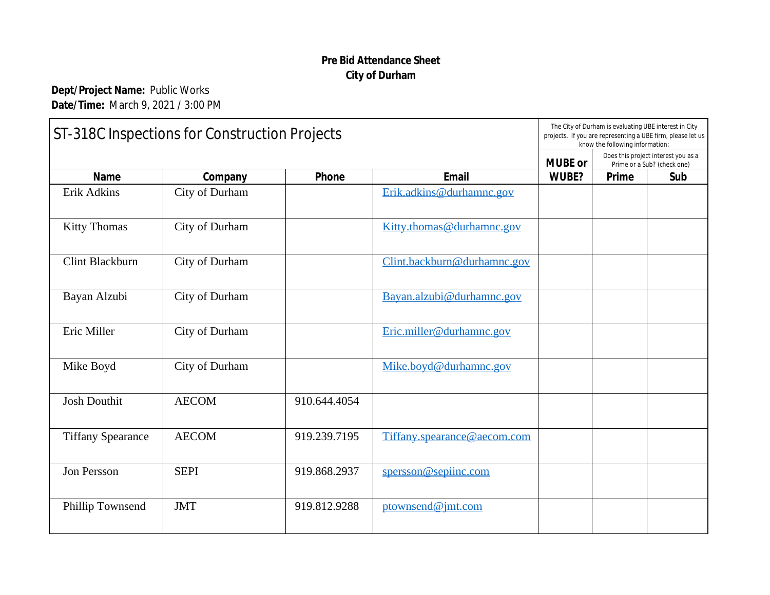## **Pre Bid Atte[ndance Sheet](mailto:Kitty.thomas@durhamnc.gov) City of [Durham](mailto:Clint.backburn@durhamnc.gov)**

**Dept/Project Name:** Public Works **Date/Time:** March 9, 2021 / 3:00 PM

| ST-318C Inspections for Construction Projects |                |              | The City of Durh<br>projects. If you are<br>know |  |
|-----------------------------------------------|----------------|--------------|--------------------------------------------------|--|
| Email<br><b>Name</b><br>Phone<br>Company      |                |              |                                                  |  |
| Erik Adkins                                   | City of Durham |              | Erik.adkins@durhamnc.gov                         |  |
| <b>Kitty Thomas</b>                           | City of Durham |              | Kitty.thomas@durhamnc.gov                        |  |
| <b>Clint Blackburn</b>                        | City of Durham |              | Clint.backburn@durhamnc.gov                      |  |
| Bayan Alzubi                                  | City of Durham |              | Bayan.alzubi@durhamnc.gov                        |  |
| Eric Miller                                   | City of Durham |              | Eric.miller@durhamnc.gov                         |  |
| Mike Boyd                                     | City of Durham |              | Mike.boyd@durhamnc.gov                           |  |
| <b>Josh Douthit</b>                           | <b>AECOM</b>   | 910.644.4054 |                                                  |  |
| <b>Tiffany Spearance</b>                      | <b>AECOM</b>   | 919.239.7195 | Tiffany.spearance@aecom.com                      |  |
| Jon Persson                                   | <b>SEPI</b>    | 919.868.2937 | spersson@sepiinc.com                             |  |
| Phillip Townsend                              | <b>JMT</b>     | 919.812.9288 | ptownsend@jmt.com                                |  |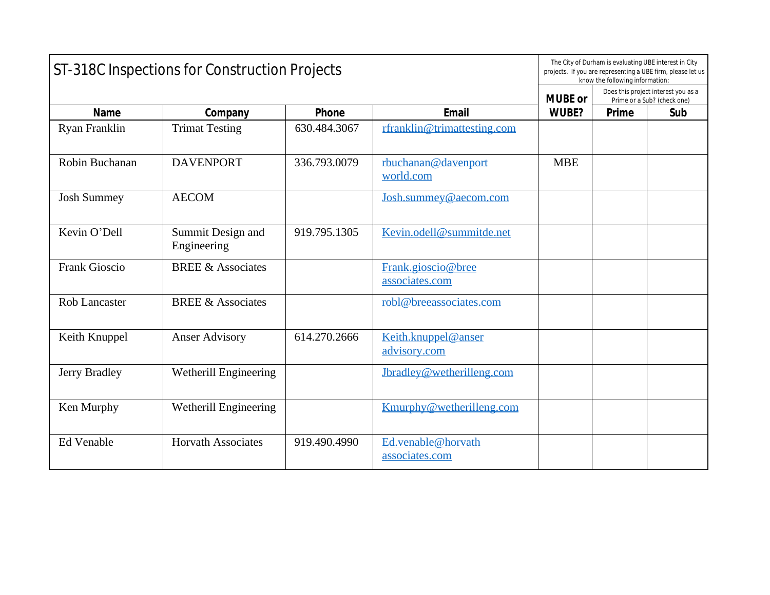| ST-318C Inspections for Construction Projects |                                  |              |                                      |              |  |  |
|-----------------------------------------------|----------------------------------|--------------|--------------------------------------|--------------|--|--|
| Email<br><b>Name</b><br>Phone                 |                                  |              |                                      |              |  |  |
|                                               | Company                          |              |                                      | <b>WUBE?</b> |  |  |
| Ryan Franklin                                 | <b>Trimat Testing</b>            | 630.484.3067 | rfranklin@trimattesting.com          |              |  |  |
| Robin Buchanan                                | <b>DAVENPORT</b>                 | 336.793.0079 | rbuchanan@davenport<br>world.com     | <b>MBE</b>   |  |  |
| <b>Josh Summey</b>                            | <b>AECOM</b>                     |              | Josh.summey@aecom.com                |              |  |  |
| Kevin O'Dell                                  | Summit Design and<br>Engineering | 919.795.1305 | Kevin.odell@summitde.net             |              |  |  |
| <b>Frank Gioscio</b>                          | <b>BREE &amp; Associates</b>     |              | Frank.gioscio@bree<br>associates.com |              |  |  |
| <b>Rob Lancaster</b>                          | <b>BREE &amp; Associates</b>     |              | robl@breeassociates.com              |              |  |  |
| Keith Knuppel                                 | <b>Anser Advisory</b>            | 614.270.2666 | Keith.knuppel@anser<br>advisory.com  |              |  |  |
| Jerry Bradley                                 | Wetherill Engineering            |              | Jbradley@wetherilleng.com            |              |  |  |
| Ken Murphy                                    | Wetherill Engineering            |              | Kmurphy@wetherilleng.com             |              |  |  |
| <b>Ed Venable</b>                             | <b>Horvath Associates</b>        | 919.490.4990 | Ed.venable@horvath<br>associates.com |              |  |  |
|                                               |                                  |              |                                      |              |  |  |